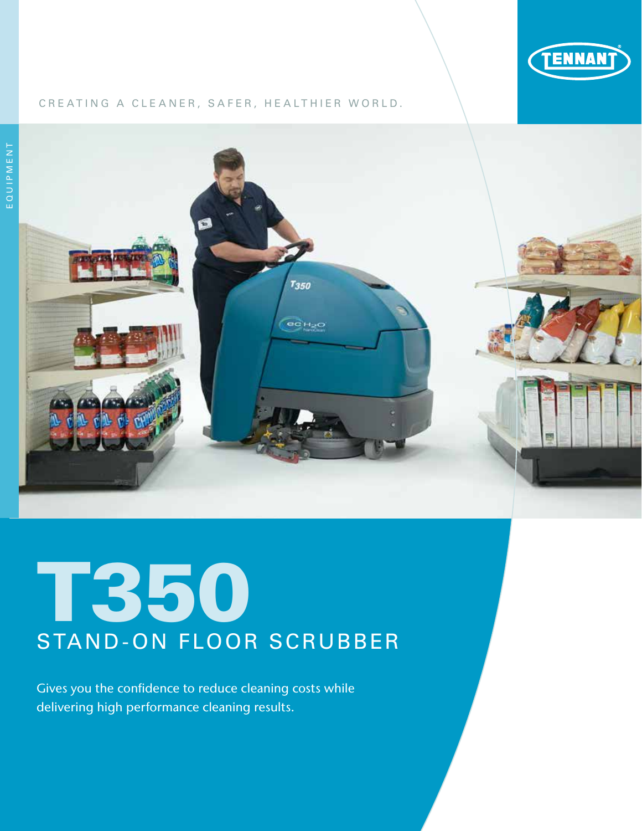

# CREATING A CLEANER, SAFER, HEALTHIER WORLD.



# T350 STAND-ON FLOOR SCRUBBER

Gives you the confidence to reduce cleaning costs while delivering high performance cleaning results.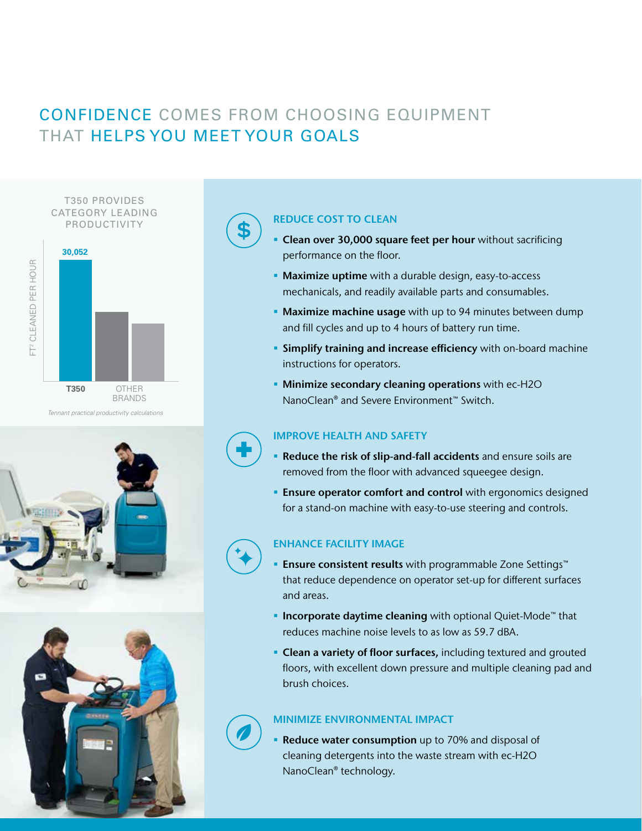# CONFIDENCE COMES FROM CHOOSING EQUIPMENT THAT HELPS YOU MEET YOUR GOALS

T350 PROVIDES CATEGORY LEADING PRODUCTIVITY



*Tennant practical productivity calculations*





# REDUCE COST TO CLEAN

- Clean over 30,000 square feet per hour without sacrificing performance on the floor.
- Maximize uptime with a durable design, easy-to-access mechanicals, and readily available parts and consumables.
- Maximize machine usage with up to 94 minutes between dump and fill cycles and up to 4 hours of battery run time.
- **Simplify training and increase efficiency** with on-board machine instructions for operators.
- **Minimize secondary cleaning operations** with ec-H2O NanoClean® and Severe Environment™ Switch.

## IMPROVE HEALTH AND SAFETY

- Reduce the risk of slip-and-fall accidents and ensure soils are removed from the floor with advanced squeegee design.
- **Ensure operator comfort and control** with ergonomics designed for a stand-on machine with easy-to-use steering and controls.

## ENHANCE FACILITY IMAGE

- Ensure consistent results with programmable Zone Settings™ that reduce dependence on operator set-up for different surfaces and areas.
- Incorporate daytime cleaning with optional Quiet-Mode<sup>™</sup> that reduces machine noise levels to as low as 59.7 dBA.
- **Clean a variety of floor surfaces, including textured and grouted** floors, with excellent down pressure and multiple cleaning pad and brush choices.

## MINIMIZE ENVIRONMENTAL IMPACT

 Reduce water consumption up to 70% and disposal of cleaning detergents into the waste stream with ec-H2O NanoClean® technology.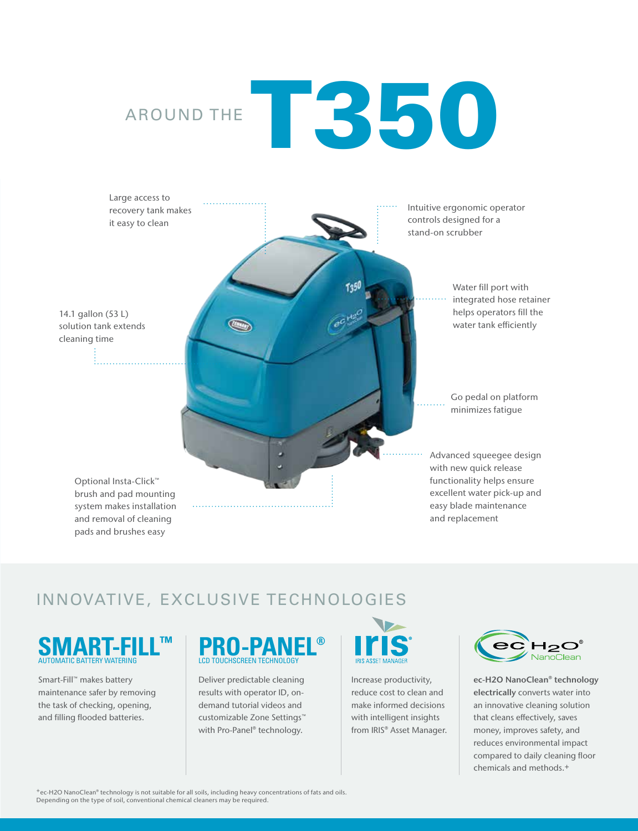# AROUND THE **350**



# INNOVATIVE, EXCLUSIVE TECHNOLOGIES

# **SMART-FILL™**

Smart-Fill™ makes battery maintenance safer by removing the task of checking, opening, and filling flooded batteries.

# **PRO-PANEL®** LCD TOUCHSCREEN TECHNOLOGY

Deliver predictable cleaning results with operator ID, ondemand tutorial videos and customizable Zone Settings™ with Pro-Panel® technology.



Increase productivity, reduce cost to clean and make informed decisions with intelligent insights from IRIS® Asset Manager.



ec-H2O NanoClean® technology electrically converts water into an innovative cleaning solution that cleans effectively, saves money, improves safety, and reduces environmental impact compared to daily cleaning floor chemicals and methods.+

+ec-H2O NanoClean® technology is not suitable for all soils, including heavy concentrations of fats and oils. Depending on the type of soil, conventional chemical cleaners may be required.